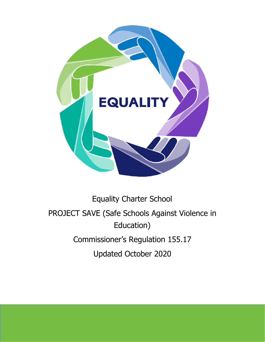

# Equality Charter School PROJECT SAVE (Safe Schools Against Violence in Education) Commissioner's Regulation 155.17 Updated October 2020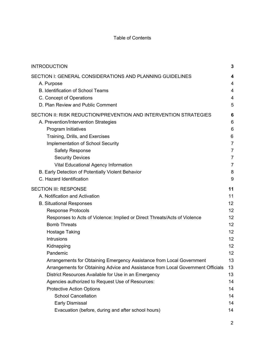#### Table of Contents

| <b>INTRODUCTION</b>                                                                                                                                                                                                                                                                                                                                                                             | 3                                                                                     |
|-------------------------------------------------------------------------------------------------------------------------------------------------------------------------------------------------------------------------------------------------------------------------------------------------------------------------------------------------------------------------------------------------|---------------------------------------------------------------------------------------|
| SECTION I: GENERAL CONSIDERATIONS AND PLANNING GUIDELINES<br>A. Purpose<br>B. Identification of School Teams<br>C. Concept of Operations<br>D. Plan Review and Public Comment                                                                                                                                                                                                                   | 4<br>4<br>4<br>4<br>5                                                                 |
| SECTION II: RISK REDUCTION/PREVENTION AND INTERVENTION STRATEGIES<br>A. Prevention/Intervention Strategies<br>Program Initiatives<br>Training, Drills, and Exercises<br><b>Implementation of School Security</b><br><b>Safety Response</b><br><b>Security Devices</b><br>Vital Educational Agency Information<br>B. Early Detection of Potentially Violent Behavior<br>C. Hazard Identification | 6<br>6<br>6<br>6<br>$\overline{7}$<br>7<br>$\overline{7}$<br>$\overline{7}$<br>8<br>9 |
| <b>SECTION III: RESPONSE</b>                                                                                                                                                                                                                                                                                                                                                                    | 11                                                                                    |
| A. Notification and Activation                                                                                                                                                                                                                                                                                                                                                                  | 11                                                                                    |
| <b>B. Situational Responses</b>                                                                                                                                                                                                                                                                                                                                                                 | 12                                                                                    |
| <b>Response Protocols</b>                                                                                                                                                                                                                                                                                                                                                                       | 12                                                                                    |
| Responses to Acts of Violence: Implied or Direct Threats/Acts of Violence                                                                                                                                                                                                                                                                                                                       | 12                                                                                    |
| <b>Bomb Threats</b>                                                                                                                                                                                                                                                                                                                                                                             | 12                                                                                    |
| <b>Hostage Taking</b>                                                                                                                                                                                                                                                                                                                                                                           | 12                                                                                    |
| Intrusions                                                                                                                                                                                                                                                                                                                                                                                      | 12                                                                                    |
| Kidnapping                                                                                                                                                                                                                                                                                                                                                                                      | 12                                                                                    |
| Pandemic                                                                                                                                                                                                                                                                                                                                                                                        | 12                                                                                    |
| Arrangements for Obtaining Emergency Assistance from Local Government                                                                                                                                                                                                                                                                                                                           | 13                                                                                    |
| Arrangements for Obtaining Advice and Assistance from Local Government Officials                                                                                                                                                                                                                                                                                                                | 13                                                                                    |
| District Resources Available for Use in an Emergency                                                                                                                                                                                                                                                                                                                                            | 13                                                                                    |
| Agencies authorized to Request Use of Resources:                                                                                                                                                                                                                                                                                                                                                | 14                                                                                    |
| <b>Protective Action Options</b>                                                                                                                                                                                                                                                                                                                                                                | 14                                                                                    |
| <b>School Cancellation</b>                                                                                                                                                                                                                                                                                                                                                                      | 14                                                                                    |
| Early Dismissal                                                                                                                                                                                                                                                                                                                                                                                 | 14                                                                                    |
| Evacuation (before, during and after school hours)                                                                                                                                                                                                                                                                                                                                              | 14                                                                                    |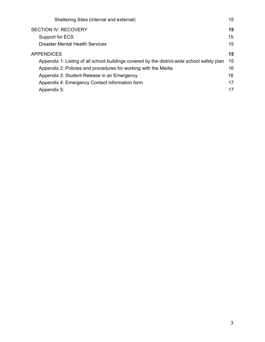| 15 |
|----|
| 15 |
| 15 |
| 15 |
| 15 |
| 15 |
| 16 |
| 16 |
| 17 |
| 17 |
|    |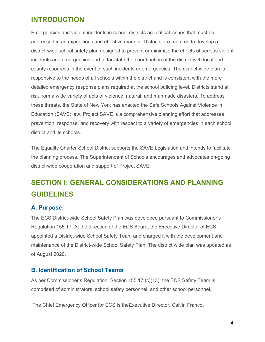## <span id="page-3-0"></span>**INTRODUCTION**

Emergencies and violent incidents in school districts are critical issues that must be addressed in an expeditious and effective manner. Districts are required to develop a district-wide school safety plan designed to prevent or minimize the effects of serious violent incidents and emergencies and to facilitate the coordination of the district with local and county resources in the event of such incidents or emergencies. The district-wide plan is responsive to the needs of all schools within the district and is consistent with the more detailed emergency response plans required at the school building level. Districts stand at risk from a wide variety of acts of violence, natural, and manmade disasters. To address these threats, the State of New York has enacted the Safe Schools Against Violence in Education (SAVE) law. Project SAVE is a comprehensive planning effort that addresses prevention, response, and recovery with respect to a variety of emergencies in each school district and its schools.

The Equality Charter School District supports the SAVE Legislation and intends to facilitate the planning process. The Superintendent of Schools encourages and advocates on-going district-wide cooperation and support of Project SAVE.

## <span id="page-3-1"></span>**SECTION I: GENERAL CONSIDERATIONS AND PLANNING GUIDELINES**

### <span id="page-3-2"></span>**A. Purpose**

The ECS District-wide School Safety Plan was developed pursuant to Commissioner's Regulation 155.17. At the direction of the ECS Board, the Executive Director of ECS appointed a District-wide School Safety Team and charged it with the development and maintenance of the District-wide School Safety Plan. The district wide plan was updated as of August 2020.

#### <span id="page-3-3"></span>**B. Identification of School Teams**

As per Commissioner's Regulation, Section 155.17 (c)(13), the ECS Safety Team is comprised of administrators, school safety personnel, and other school personnel.

The Chief Emergency Officer for ECS is theExecutive Director, Caitlin Franco.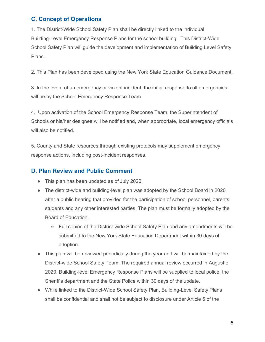## <span id="page-4-0"></span>**C. Concept of Operations**

1. The District-Wide School Safety Plan shall be directly linked to the individual Building-Level Emergency Response Plans for the school building. This District-Wide School Safety Plan will guide the development and implementation of Building Level Safety Plans.

2. This Plan has been developed using the New York State Education Guidance Document.

3. In the event of an emergency or violent incident, the initial response to all emergencies will be by the School Emergency Response Team.

4. Upon activation of the School Emergency Response Team, the Superintendent of Schools or his/her designee will be notified and, when appropriate, local emergency officials will also be notified.

5. County and State resources through existing protocols may supplement emergency response actions, including post-incident responses.

## <span id="page-4-1"></span>**D. Plan Review and Public Comment**

- This plan has been updated as of July 2020.
- The district-wide and building-level plan was adopted by the School Board in 2020 after a public hearing that provided for the participation of school personnel, parents, students and any other interested parties. The plan must be formally adopted by the Board of Education.
	- Full copies of the District-wide School Safety Plan and any amendments will be submitted to the New York State Education Department within 30 days of adoption.
- This plan will be reviewed periodically during the year and will be maintained by the District-wide School Safety Team. The required annual review occurred in August of 2020. Building-level Emergency Response Plans will be supplied to local police, the Sheriff's department and the State Police within 30 days of the update.
- While linked to the District-Wide School Safety Plan, Building-Level Safety Plans shall be confidential and shall not be subject to disclosure under Article 6 of the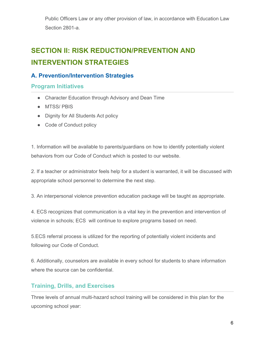Public Officers Law or any other provision of law, in accordance with Education Law Section 2801-a.

## <span id="page-5-0"></span>**SECTION II: RISK REDUCTION/PREVENTION AND INTERVENTION STRATEGIES**

## <span id="page-5-1"></span>**A. Prevention/Intervention Strategies**

#### <span id="page-5-2"></span>**Program Initiatives**

- Character Education through Advisory and Dean Time
- MTSS/ PBIS
- Dignity for All Students Act policy
- Code of Conduct policy

1. Information will be available to parents/guardians on how to identify potentially violent behaviors from our Code of Conduct which is posted to our website.

2. If a teacher or administrator feels help for a student is warranted, it will be discussed with appropriate school personnel to determine the next step.

3. An interpersonal violence prevention education package will be taught as appropriate.

4. ECS recognizes that communication is a vital key in the prevention and intervention of violence in schools; ECS will continue to explore programs based on need.

5.ECS referral process is utilized for the reporting of potentially violent incidents and following our Code of Conduct.

6. Additionally, counselors are available in every school for students to share information where the source can be confidential.

## <span id="page-5-3"></span>**Training, Drills, and Exercises**

Three levels of annual multi-hazard school training will be considered in this plan for the upcoming school year: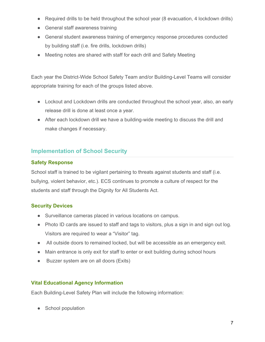- Required drills to be held throughout the school year (8 evacuation, 4 lockdown drills)
- General staff awareness training
- General student awareness training of emergency response procedures conducted by building staff (i.e. fire drills, lockdown drills)
- Meeting notes are shared with staff for each drill and Safety Meeting

Each year the District-Wide School Safety Team and/or Building-Level Teams will consider appropriate training for each of the groups listed above.

- Lockout and Lockdown drills are conducted throughout the school year, also, an early release drill is done at least once a year.
- After each lockdown drill we have a building-wide meeting to discuss the drill and make changes if necessary.

## <span id="page-6-0"></span>**Implementation of School Security**

#### <span id="page-6-1"></span>**Safety Response**

School staff is trained to be vigilant pertaining to threats against students and staff (i.e. bullying, violent behavior, etc.). ECS continues to promote a culture of respect for the students and staff through the Dignity for All Students Act.

#### <span id="page-6-2"></span>**Security Devices**

- Surveillance cameras placed in various locations on campus.
- Photo ID cards are issued to staff and tags to visitors, plus a sign in and sign out log. Visitors are required to wear a "Visitor" tag.
- All outside doors to remained locked, but will be accessible as an emergency exit.
- Main entrance is only exit for staff to enter or exit building during school hours
- Buzzer system are on all doors (Exits)

#### <span id="page-6-3"></span>**Vital Educational Agency Information**

Each Building-Level Safety Plan will include the following information:

● School population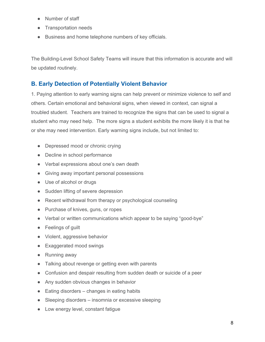- Number of staff
- Transportation needs
- Business and home telephone numbers of key officials.

The Building-Level School Safety Teams will insure that this information is accurate and will be updated routinely.

## <span id="page-7-0"></span>**B. Early Detection of Potentially Violent Behavior**

1. Paying attention to early warning signs can help prevent or minimize violence to self and others. Certain emotional and behavioral signs, when viewed in context, can signal a troubled student. Teachers are trained to recognize the signs that can be used to signal a student who may need help. The more signs a student exhibits the more likely it is that he or she may need intervention. Early warning signs include, but not limited to:

- Depressed mood or chronic crying
- Decline in school performance
- Verbal expressions about one's own death
- Giving away important personal possessions
- Use of alcohol or drugs
- Sudden lifting of severe depression
- Recent withdrawal from therapy or psychological counseling
- Purchase of knives, guns, or ropes
- Verbal or written communications which appear to be saying "good-bye"
- Feelings of guilt
- Violent, aggressive behavior
- Exaggerated mood swings
- Running away
- Talking about revenge or getting even with parents
- Confusion and despair resulting from sudden death or suicide of a peer
- Any sudden obvious changes in behavior
- $\bullet$  Eating disorders changes in eating habits
- Sleeping disorders insomnia or excessive sleeping
- Low energy level, constant fatigue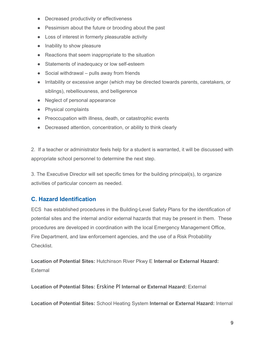- Decreased productivity or effectiveness
- Pessimism about the future or brooding about the past
- Loss of interest in formerly pleasurable activity
- Inability to show pleasure
- Reactions that seem inappropriate to the situation
- Statements of inadequacy or low self-esteem
- $\bullet$  Social withdrawal pulls away from friends
- Irritability or excessive anger (which may be directed towards parents, caretakers, or siblings), rebelliousness, and belligerence
- Neglect of personal appearance
- Physical complaints
- Preoccupation with illness, death, or catastrophic events
- Decreased attention, concentration, or ability to think clearly

2. If a teacher or administrator feels help for a student is warranted, it will be discussed with appropriate school personnel to determine the next step.

3. The Executive Director will set specific times for the building principal(s), to organize activities of particular concern as needed.

### <span id="page-8-0"></span>**C. Hazard Identification**

ECS has established procedures in the Building-Level Safety Plans for the identification of potential sites and the internal and/or external hazards that may be present in them. These procedures are developed in coordination with the local Emergency Management Office, Fire Department, and law enforcement agencies, and the use of a Risk Probability Checklist.

**Location of Potential Sites:** Hutchinson River Pkwy E **Internal or External Hazard:** External

**Location of Potential Sites:** Erskine Pl **Internal or External Hazard:** External

**Location of Potential Sites:** School Heating System **Internal or External Hazard:** Internal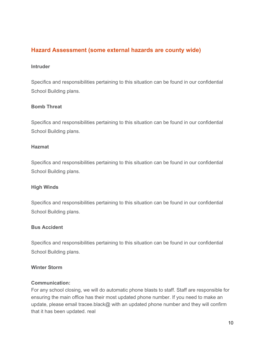### **Hazard Assessment (some external hazards are county wide)**

#### **Intruder**

Specifics and responsibilities pertaining to this situation can be found in our confidential School Building plans.

#### **Bomb Threat**

Specifics and responsibilities pertaining to this situation can be found in our confidential School Building plans.

#### **Hazmat**

Specifics and responsibilities pertaining to this situation can be found in our confidential School Building plans.

#### **High Winds**

Specifics and responsibilities pertaining to this situation can be found in our confidential School Building plans.

#### **Bus Accident**

Specifics and responsibilities pertaining to this situation can be found in our confidential School Building plans.

#### **Winter Storm**

#### **Communication:**

For any school closing, we will do automatic phone blasts to staff. Staff are responsible for ensuring the main office has their most updated phone number. If you need to make an update, please email tracee.black@ with an updated phone number and they will confirm that it has been updated. real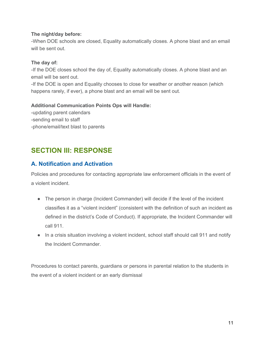#### **The night/day before:**

-When DOE schools are closed, Equality automatically closes. A phone blast and an email will be sent out.

#### **The day of:**

-If the DOE closes school the day of, Equality automatically closes. A phone blast and an email will be sent out.

-If the DOE is open and Equality chooses to close for weather or another reason (which happens rarely, if ever), a phone blast and an email will be sent out.

#### **Additional Communication Points Ops will Handle:**

-updating parent calendars -sending email to staff -phone/email/text blast to parents

## <span id="page-10-0"></span>**SECTION III: RESPONSE**

### <span id="page-10-1"></span>**A. Notification and Activation**

Policies and procedures for contacting appropriate law enforcement officials in the event of a violent incident.

- The person in charge (Incident Commander) will decide if the level of the incident classifies it as a "violent incident" (consistent with the definition of such an incident as defined in the district's Code of Conduct). If appropriate, the Incident Commander will call 911.
- In a crisis situation involving a violent incident, school staff should call 911 and notify the Incident Commander.

Procedures to contact parents, guardians or persons in parental relation to the students in the event of a violent incident or an early dismissal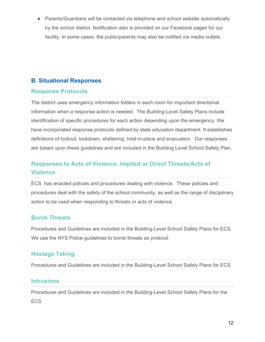Parents/Guardians will be contacted via telephone and school website automatically by the school district. Notification also is provided on our Facebook pages for our facility. In some cases, the public/parents may also be notified via media outlets.

## <span id="page-11-0"></span>**B. Situational Responses**

#### <span id="page-11-1"></span>**Response Protocols**

The district uses emergency information folders in each room for important directional information when a response action is needed. The Building-Level Safety Plans include identification of specific procedures for each action depending upon the emergency. We have incorporated response protocols defined by state education department. It establishes definitions of lockout, lockdown, sheltering, hold-in-place and evacuation. Our responses are based upon these guidelines and are included in the Building Level School Safety Plan.

## <span id="page-11-2"></span>**Responses to Acts of Violence: Implied or Direct Threats/Acts of Violence**

ECS has enacted policies and procedures dealing with violence. These policies and procedures deal with the safety of the school community, as well as the range of disciplinary action to be used when responding to threats or acts of violence.

### <span id="page-11-3"></span>**Bomb Threats**

Procedures and Guidelines are included in the Building-Level School Safety Plans for ECS. We use the NYS Police guidelines to bomb threats as protocol.

### <span id="page-11-4"></span>**Hostage Taking**

Procedures and Guidelines are included in the Building-Level School Safety Plans for ECS

### <span id="page-11-5"></span>**Intrusions**

Procedures and Guidelines are included in the Building-Level School Safety Plans for the ECS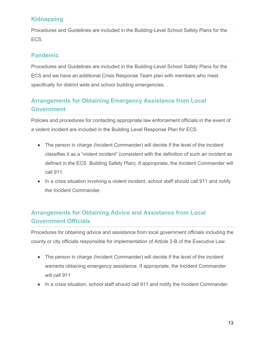## <span id="page-12-0"></span>**Kidnapping**

Procedures and Guidelines are included in the Building-Level School Safety Plans for the ECS.

## <span id="page-12-1"></span>**Pandemic**

Procedures and Guidelines are included in the Building-Level School Safety Plans for the ECS and we have an additional Crisis Response Team plan with members who meet specifically for district wide and school building emergencies. .

## <span id="page-12-2"></span>**Arrangements for Obtaining Emergency Assistance from Local Government**

Policies and procedures for contacting appropriate law enforcement officials in the event of a violent incident are included in the Building Level Response Plan for ECS.

- The person in charge (Incident Commander) will decide if the level of the incident classifies it as a "violent incident" (consistent with the definition of such an incident as defined in the ECS Building Safety Plan). If appropriate, the Incident Commander will call 911.
- In a crisis situation involving a violent incident, school staff should call 911 and notify the Incident Commander.

## <span id="page-12-3"></span>**Arrangements for Obtaining Advice and Assistance from Local Government Officials**

Procedures for obtaining advice and assistance from local government officials including the county or city officials responsible for implementation of Article 2-B of the Executive Law.

- The person in charge (Incident Commander) will decide if the level of the incident warrants obtaining emergency assistance. If appropriate, the Incident Commander will call 911
- In a crisis situation, school staff should call 911 and notify the Incident Commander.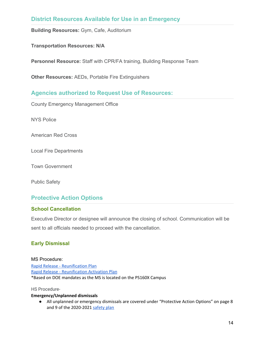#### <span id="page-13-0"></span>**District Resources Available for Use in an Emergency**

**Building Resources:** Gym, Cafe, Auditorium

**Transportation Resources: N/A**

**Personnel Resource:** Staff with CPR/FA training, Building Response Team

**Other Resources:** AEDs, Portable Fire Extinguishers

#### <span id="page-13-1"></span>**Agencies authorized to Request Use of Resources:**

County Emergency Management Office

NYS Police

American Red Cross

Local Fire Departments

Town Government

Public Safety

### <span id="page-13-2"></span>**Protective Action Options**

#### <span id="page-13-3"></span>**School Cancellation**

Executive Director or designee will announce the closing of school. Communication will be sent to all officials needed to proceed with the cancellation.

#### <span id="page-13-4"></span>**Early Dismissal**

MS Procedure: Rapid Release - [Reunification](https://docs.google.com/document/d/1WLnwrVXGKuVq7vXLGEdDIvlrPAaelzTmlCvpM1A3Vq0/edit?usp=sharing) Plan Rapid Release - [Reunification](https://docs.google.com/document/d/1fPQbAw5J0wTy-BHaQxrk6h9nTrLSsmzLSOgRE5xEV6c/edit?usp=sharing) Activation Plan \*Based on DOE mandates as the MS is located on the PS160X Campus

#### HS Procedure-

#### **Emergency/Unplanned dismissals**

● All unplanned or emergency dismissals are covered under "Protective Action Options" on page 8 and 9 of the 2020-2021 [safety](https://docs.google.com/document/d/1B_Botg36hzMqflEBQnPz9uuqyyVjOkr_kWeW58B6kLA/edit) plan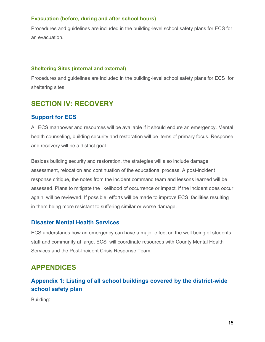#### **Evacuation (before, during and after school hours)**

Procedures and guidelines are included in the building-level school safety plans for ECS for an evacuation.

#### <span id="page-14-0"></span>**Sheltering Sites (internal and external)**

Procedures and guidelines are included in the building-level school safety plans for ECS for sheltering sites.

## <span id="page-14-1"></span>**SECTION IV: RECOVERY**

### <span id="page-14-2"></span>**Support for ECS**

All ECS manpower and resources will be available if it should endure an emergency. Mental health counseling, building security and restoration will be items of primary focus. Response and recovery will be a district goal.

Besides building security and restoration, the strategies will also include damage assessment, relocation and continuation of the educational process. A post-incident response critique, the notes from the incident command team and lessons learned will be assessed. Plans to mitigate the likelihood of occurrence or impact, if the incident does occur again, will be reviewed. If possible, efforts will be made to improve ECS facilities resulting in them being more resistant to suffering similar or worse damage.

#### <span id="page-14-3"></span>**Disaster Mental Health Services**

ECS understands how an emergency can have a major effect on the well being of students, staff and community at large. ECS will coordinate resources with County Mental Health Services and the Post-Incident Crisis Response Team.

## <span id="page-14-4"></span>**APPENDICES**

## <span id="page-14-5"></span>**Appendix 1: Listing of all school buildings covered by the district-wide school safety plan**

Building: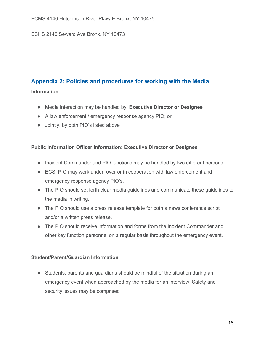ECHS 2140 Seward Ave Bronx, NY 10473

## <span id="page-15-0"></span>**Appendix 2: Policies and procedures for working with the Media**

#### **Information**

- Media interaction may be handled by: **Executive Director or Designee**
- A law enforcement / emergency response agency PIO; or
- Jointly, by both PIO's listed above

#### **Public Information Officer Information: Executive Director or Designee**

- Incident Commander and PIO functions may be handled by two different persons.
- ECS PIO may work under, over or in cooperation with law enforcement and emergency response agency PIO's.
- The PIO should set forth clear media guidelines and communicate these guidelines to the media in writing.
- The PIO should use a press release template for both a news conference script and/or a written press release.
- The PIO should receive information and forms from the Incident Commander and other key function personnel on a regular basis throughout the emergency event.

#### **Student/Parent/Guardian Information**

● Students, parents and guardians should be mindful of the situation during an emergency event when approached by the media for an interview. Safety and security issues may be comprised